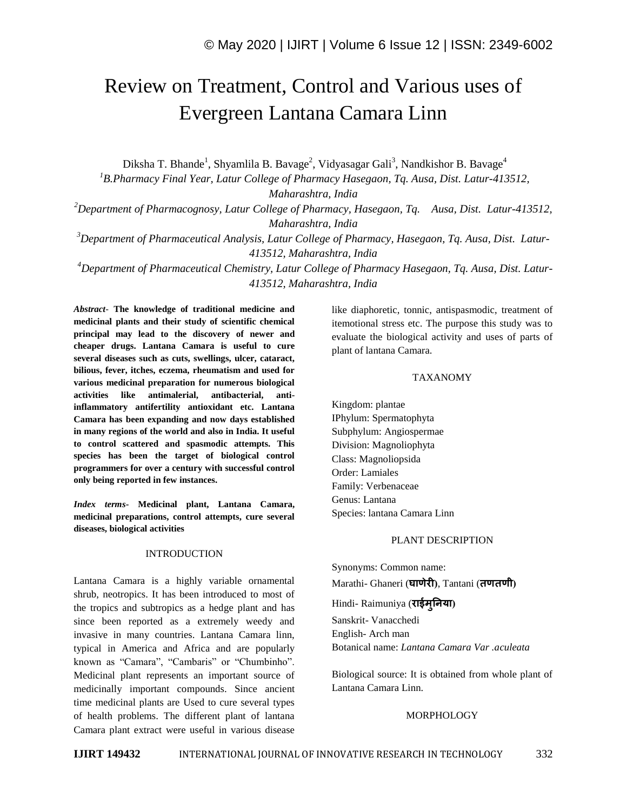# Review on Treatment, Control and Various uses of Evergreen Lantana Camara Linn

Diksha T. Bhande<sup>1</sup>, Shyamlila B. Bavage<sup>2</sup>, Vidyasagar Gali<sup>3</sup>, Nandkishor B. Bavage<sup>4</sup>

*<sup>1</sup>B.Pharmacy Final Year, Latur College of Pharmacy Hasegaon, Tq. Ausa, Dist. Latur-413512, Maharashtra, India*

*<sup>2</sup>Department of Pharmacognosy, Latur College of Pharmacy, Hasegaon, Tq. Ausa, Dist. Latur-413512, Maharashtra, India*

*<sup>3</sup>Department of Pharmaceutical Analysis, Latur College of Pharmacy, Hasegaon, Tq. Ausa, Dist. Latur-413512, Maharashtra, India*

*<sup>4</sup>Department of Pharmaceutical Chemistry, Latur College of Pharmacy Hasegaon, Tq. Ausa, Dist. Latur-413512, Maharashtra, India*

*Abstract*- **The knowledge of traditional medicine and medicinal plants and their study of scientific chemical principal may lead to the discovery of newer and cheaper drugs. Lantana Camara is useful to cure several diseases such as cuts, swellings, ulcer, cataract, bilious, fever, itches, eczema, rheumatism and used for various medicinal preparation for numerous biological activities like antimalerial, antibacterial, antiinflammatory antifertility antioxidant etc. Lantana Camara has been expanding and now days established in many regions of the world and also in India. It useful to control scattered and spasmodic attempts. This species has been the target of biological control programmers for over a century with successful control only being reported in few instances.**

*Index terms***- Medicinal plant, Lantana Camara, medicinal preparations, control attempts, cure several diseases, biological activities**

### INTRODUCTION

Lantana Camara is a highly variable ornamental shrub, neotropics. It has been introduced to most of the tropics and subtropics as a hedge plant and has since been reported as a extremely weedy and invasive in many countries. Lantana Camara linn, typical in America and Africa and are popularly known as "Camara", "Cambaris" or "Chumbinho". Medicinal plant represents an important source of medicinally important compounds. Since ancient time medicinal plants are Used to cure several types of health problems. The different plant of lantana Camara plant extract were useful in various disease like diaphoretic, tonnic, antispasmodic, treatment of itemotional stress etc. The purpose this study was to evaluate the biological activity and uses of parts of plant of lantana Camara.

### TAXANOMY

Kingdom: plantae IPhylum: Spermatophyta Subphylum: Angiospermae Division: Magnoliophyta Class: Magnoliopsida Order: Lamiales Family: Verbenaceae Genus: Lantana Species: lantana Camara Linn

#### PLANT DESCRIPTION

Synonyms: Common name: Marathi- Ghaneri (**घाणेरी)**, Tantani (**तणतणी)**

Hindi- Raimuniya (**राईमुनिया)**

Sanskrit- Vanacchedi English- Arch man Botanical name: *Lantana Camara Var .aculeata*

Biological source: It is obtained from whole plant of Lantana Camara Linn.

## MORPHOLOGY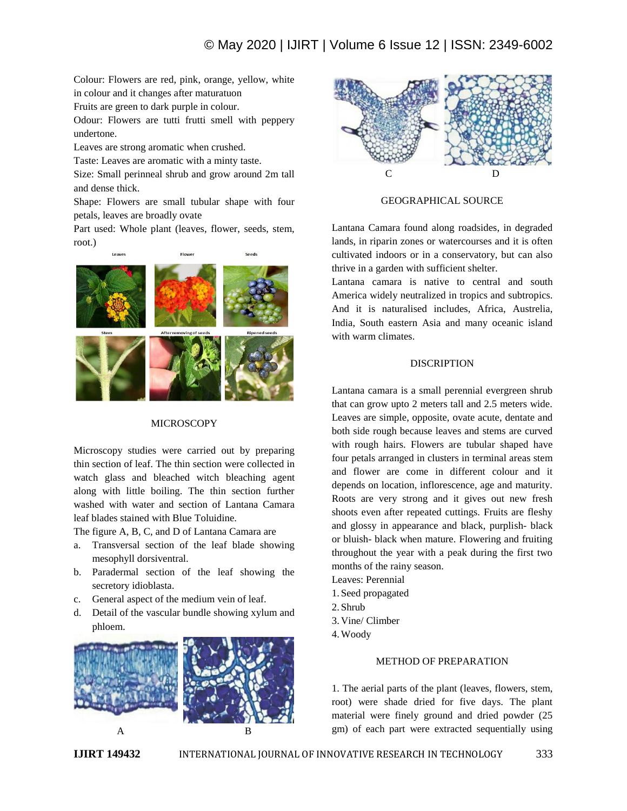Colour: Flowers are red, pink, orange, yellow, white in colour and it changes after maturatuon

Fruits are green to dark purple in colour.

Odour: Flowers are tutti frutti smell with peppery undertone.

Leaves are strong aromatic when crushed.

Taste: Leaves are aromatic with a minty taste.

Size: Small perinneal shrub and grow around 2m tall and dense thick.

Shape: Flowers are small tubular shape with four petals, leaves are broadly ovate

Part used: Whole plant (leaves, flower, seeds, stem, root.)



#### MICROSCOPY

Microscopy studies were carried out by preparing thin section of leaf. The thin section were collected in watch glass and bleached witch bleaching agent along with little boiling. The thin section further washed with water and section of Lantana Camara leaf blades stained with Blue Toluidine.

The figure A, B, C, and D of Lantana Camara are

- a. Transversal section of the leaf blade showing mesophyll dorsiventral.
- b. Paradermal section of the leaf showing the secretory idioblasta.
- c. General aspect of the medium vein of leaf.
- d. Detail of the vascular bundle showing xylum and phloem.





#### GEOGRAPHICAL SOURCE

Lantana Camara found along roadsides, in degraded lands, in riparin zones or watercourses and it is often cultivated indoors or in a conservatory, but can also thrive in a garden with sufficient shelter.

Lantana camara is native to central and south America widely neutralized in tropics and subtropics. And it is naturalised includes, Africa, Austrelia, India, South eastern Asia and many oceanic island with warm climates.

#### **DISCRIPTION**

Lantana camara is a small perennial evergreen shrub that can grow upto 2 meters tall and 2.5 meters wide. Leaves are simple, opposite, ovate acute, dentate and both side rough because leaves and stems are curved with rough hairs. Flowers are tubular shaped have four petals arranged in clusters in terminal areas stem and flower are come in different colour and it depends on location, inflorescence, age and maturity. Roots are very strong and it gives out new fresh shoots even after repeated cuttings. Fruits are fleshy and glossy in appearance and black, purplish- black or bluish- black when mature. Flowering and fruiting throughout the year with a peak during the first two months of the rainy season.

- Leaves: Perennial
- 1. Seed propagated
- 2. Shrub
- 3. Vine/ Climber
- 4.Woody

#### METHOD OF PREPARATION

1. The aerial parts of the plant (leaves, flowers, stem, root) were shade dried for five days. The plant material were finely ground and dried powder (25 gm) of each part were extracted sequentially using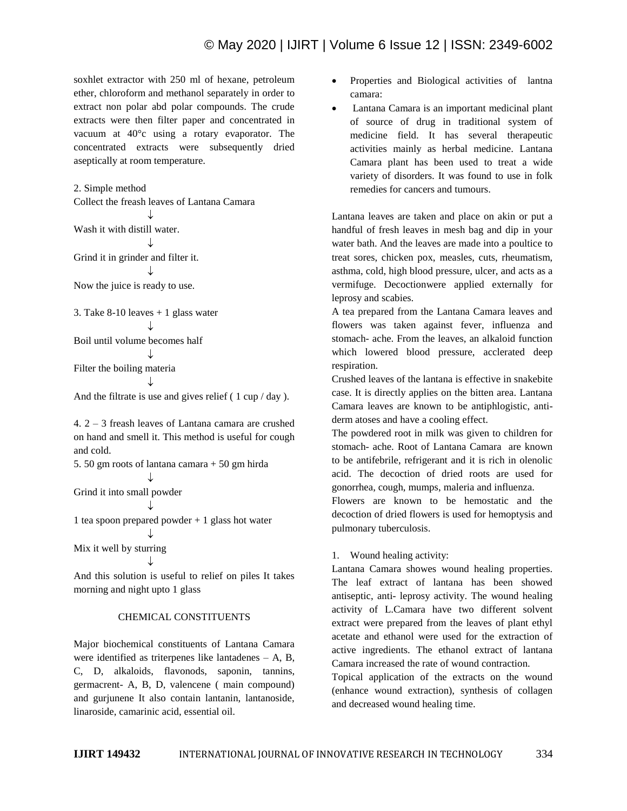soxhlet extractor with 250 ml of hexane, petroleum ether, chloroform and methanol separately in order to extract non polar abd polar compounds. The crude extracts were then filter paper and concentrated in vacuum at 40°c using a rotary evaporator. The concentrated extracts were subsequently dried aseptically at room temperature.

2. Simple method Collect the freash leaves of Lantana Camara T Wash it with distill water. ↓ Grind it in grinder and filter it. ↓ Now the juice is ready to use. 3. Take  $8-10$  leaves  $+1$  glass water  $\perp$ Boil until volume becomes half ↓

Filter the boiling materia ↓

And the filtrate is use and gives relief ( 1 cup / day ).

4. 2 – 3 freash leaves of Lantana camara are crushed on hand and smell it. This method is useful for cough and cold.

5. 50 gm roots of lantana camara + 50 gm hirda  $\mathbf{I}$ Grind it into small powder

J

T

1 tea spoon prepared powder + 1 glass hot water ↓

Mix it well by sturring

And this solution is useful to relief on piles It takes morning and night upto 1 glass

# CHEMICAL CONSTITUENTS

Major biochemical constituents of Lantana Camara were identified as triterpenes like lantadenes – A, B, C, D, alkaloids, flavonods, saponin, tannins, germacrent- A, B, D, valencene ( main compound) and gurjunene It also contain lantanin, lantanoside, linaroside, camarinic acid, essential oil.

- Properties and Biological activities of lantna camara:
- Lantana Camara is an important medicinal plant of source of drug in traditional system of medicine field. It has several therapeutic activities mainly as herbal medicine. Lantana Camara plant has been used to treat a wide variety of disorders. It was found to use in folk remedies for cancers and tumours.

Lantana leaves are taken and place on akin or put a handful of fresh leaves in mesh bag and dip in your water bath. And the leaves are made into a poultice to treat sores, chicken pox, measles, cuts, rheumatism, asthma, cold, high blood pressure, ulcer, and acts as a vermifuge. Decoctionwere applied externally for leprosy and scabies.

A tea prepared from the Lantana Camara leaves and flowers was taken against fever, influenza and stomach- ache. From the leaves, an alkaloid function which lowered blood pressure, acclerated deep respiration.

Crushed leaves of the lantana is effective in snakebite case. It is directly applies on the bitten area. Lantana Camara leaves are known to be antiphlogistic, antiderm atoses and have a cooling effect.

The powdered root in milk was given to children for stomach- ache. Root of Lantana Camara are known to be antifebrile, refrigerant and it is rich in olenolic acid. The decoction of dried roots are used for gonorrhea, cough, mumps, maleria and influenza.

Flowers are known to be hemostatic and the decoction of dried flowers is used for hemoptysis and pulmonary tuberculosis.

# 1. Wound healing activity:

Lantana Camara showes wound healing properties. The leaf extract of lantana has been showed antiseptic, anti- leprosy activity. The wound healing activity of L.Camara have two different solvent extract were prepared from the leaves of plant ethyl acetate and ethanol were used for the extraction of active ingredients. The ethanol extract of lantana Camara increased the rate of wound contraction.

Topical application of the extracts on the wound (enhance wound extraction), synthesis of collagen and decreased wound healing time.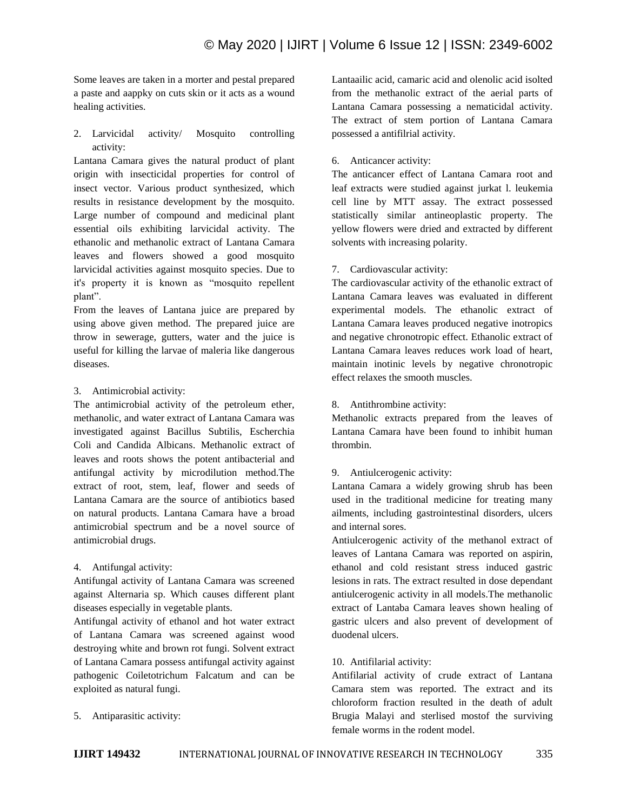Some leaves are taken in a morter and pestal prepared a paste and aappky on cuts skin or it acts as a wound healing activities.

2. Larvicidal activity/ Mosquito controlling activity:

Lantana Camara gives the natural product of plant origin with insecticidal properties for control of insect vector. Various product synthesized, which results in resistance development by the mosquito. Large number of compound and medicinal plant essential oils exhibiting larvicidal activity. The ethanolic and methanolic extract of Lantana Camara leaves and flowers showed a good mosquito larvicidal activities against mosquito species. Due to it's property it is known as "mosquito repellent plant".

From the leaves of Lantana juice are prepared by using above given method. The prepared juice are throw in sewerage, gutters, water and the juice is useful for killing the larvae of maleria like dangerous diseases.

## 3. Antimicrobial activity:

The antimicrobial activity of the petroleum ether, methanolic, and water extract of Lantana Camara was investigated against Bacillus Subtilis, Escherchia Coli and Candida Albicans. Methanolic extract of leaves and roots shows the potent antibacterial and antifungal activity by microdilution method.The extract of root, stem, leaf, flower and seeds of Lantana Camara are the source of antibiotics based on natural products. Lantana Camara have a broad antimicrobial spectrum and be a novel source of antimicrobial drugs.

## 4. Antifungal activity:

Antifungal activity of Lantana Camara was screened against Alternaria sp. Which causes different plant diseases especially in vegetable plants.

Antifungal activity of ethanol and hot water extract of Lantana Camara was screened against wood destroying white and brown rot fungi. Solvent extract of Lantana Camara possess antifungal activity against pathogenic Coiletotrichum Falcatum and can be exploited as natural fungi.

5. Antiparasitic activity:

Lantaailic acid, camaric acid and olenolic acid isolted from the methanolic extract of the aerial parts of Lantana Camara possessing a nematicidal activity. The extract of stem portion of Lantana Camara possessed a antifilrial activity.

### 6. Anticancer activity:

The anticancer effect of Lantana Camara root and leaf extracts were studied against jurkat l. leukemia cell line by MTT assay. The extract possessed statistically similar antineoplastic property. The yellow flowers were dried and extracted by different solvents with increasing polarity.

## 7. Cardiovascular activity:

The cardiovascular activity of the ethanolic extract of Lantana Camara leaves was evaluated in different experimental models. The ethanolic extract of Lantana Camara leaves produced negative inotropics and negative chronotropic effect. Ethanolic extract of Lantana Camara leaves reduces work load of heart, maintain inotinic levels by negative chronotropic effect relaxes the smooth muscles.

#### 8. Antithrombine activity:

Methanolic extracts prepared from the leaves of Lantana Camara have been found to inhibit human thrombin.

## 9. Antiulcerogenic activity:

Lantana Camara a widely growing shrub has been used in the traditional medicine for treating many ailments, including gastrointestinal disorders, ulcers and internal sores.

Antiulcerogenic activity of the methanol extract of leaves of Lantana Camara was reported on aspirin, ethanol and cold resistant stress induced gastric lesions in rats. The extract resulted in dose dependant antiulcerogenic activity in all models.The methanolic extract of Lantaba Camara leaves shown healing of gastric ulcers and also prevent of development of duodenal ulcers.

## 10. Antifilarial activity:

Antifilarial activity of crude extract of Lantana Camara stem was reported. The extract and its chloroform fraction resulted in the death of adult Brugia Malayi and sterlised mostof the surviving female worms in the rodent model.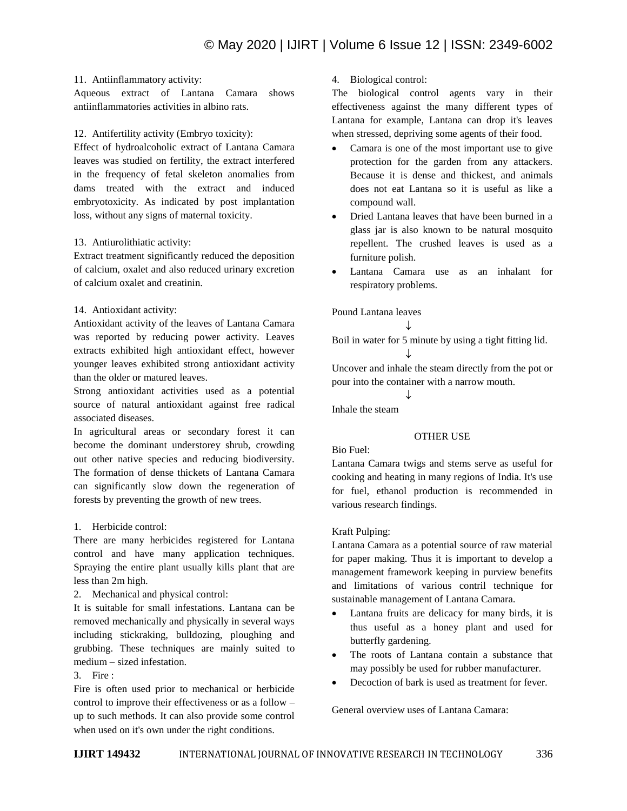## 11. Antiinflammatory activity:

Aqueous extract of Lantana Camara shows antiinflammatories activities in albino rats.

# 12. Antifertility activity (Embryo toxicity):

Effect of hydroalcoholic extract of Lantana Camara leaves was studied on fertility, the extract interfered in the frequency of fetal skeleton anomalies from dams treated with the extract and induced embryotoxicity. As indicated by post implantation loss, without any signs of maternal toxicity.

# 13. Antiurolithiatic activity:

Extract treatment significantly reduced the deposition of calcium, oxalet and also reduced urinary excretion of calcium oxalet and creatinin.

# 14. Antioxidant activity:

Antioxidant activity of the leaves of Lantana Camara was reported by reducing power activity. Leaves extracts exhibited high antioxidant effect, however younger leaves exhibited strong antioxidant activity than the older or matured leaves.

Strong antioxidant activities used as a potential source of natural antioxidant against free radical associated diseases.

In agricultural areas or secondary forest it can become the dominant understorey shrub, crowding out other native species and reducing biodiversity. The formation of dense thickets of Lantana Camara can significantly slow down the regeneration of forests by preventing the growth of new trees.

# 1. Herbicide control:

There are many herbicides registered for Lantana control and have many application techniques. Spraying the entire plant usually kills plant that are less than 2m high.

2. Mechanical and physical control:

It is suitable for small infestations. Lantana can be removed mechanically and physically in several ways including stickraking, bulldozing, ploughing and grubbing. These techniques are mainly suited to medium – sized infestation.

# 3. Fire :

Fire is often used prior to mechanical or herbicide control to improve their effectiveness or as a follow – up to such methods. It can also provide some control when used on it's own under the right conditions.

# 4. Biological control:

The biological control agents vary in their effectiveness against the many different types of Lantana for example, Lantana can drop it's leaves when stressed, depriving some agents of their food.

- Camara is one of the most important use to give protection for the garden from any attackers. Because it is dense and thickest, and animals does not eat Lantana so it is useful as like a compound wall.
- Dried Lantana leaves that have been burned in a glass jar is also known to be natural mosquito repellent. The crushed leaves is used as a furniture polish.
- Lantana Camara use as an inhalant for respiratory problems.

Pound Lantana leaves

↓ Boil in water for 5 minute by using a tight fitting lid. T

Uncover and inhale the steam directly from the pot or pour into the container with a narrow mouth.

 $\downarrow$ 

Inhale the steam

# OTHER USE

## Bio Fuel:

Lantana Camara twigs and stems serve as useful for cooking and heating in many regions of India. It's use for fuel, ethanol production is recommended in various research findings.

# Kraft Pulping:

Lantana Camara as a potential source of raw material for paper making. Thus it is important to develop a management framework keeping in purview benefits and limitations of various contril technique for sustainable management of Lantana Camara.

- Lantana fruits are delicacy for many birds, it is thus useful as a honey plant and used for butterfly gardening.
- The roots of Lantana contain a substance that may possibly be used for rubber manufacturer.
- Decoction of bark is used as treatment for fever.

General overview uses of Lantana Camara: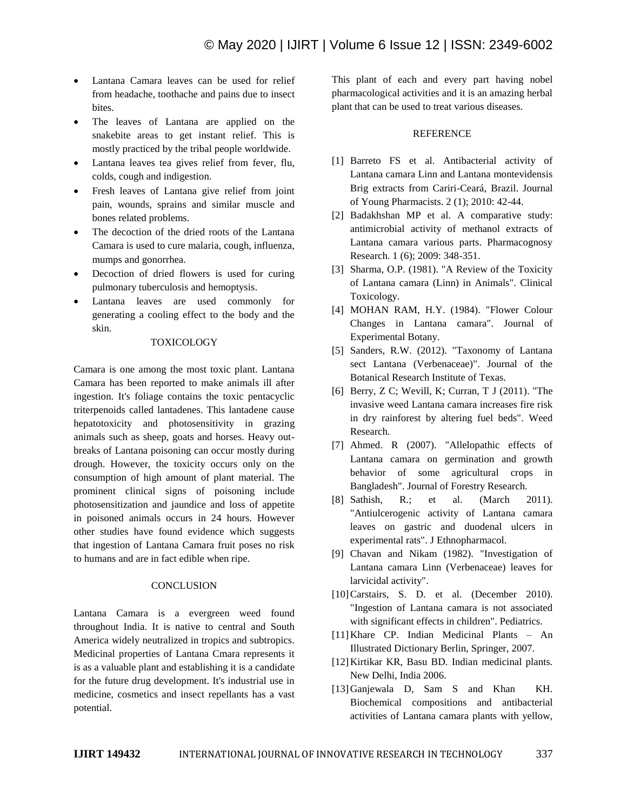- Lantana Camara leaves can be used for relief from headache, toothache and pains due to insect bites.
- The leaves of Lantana are applied on the snakebite areas to get instant relief. This is mostly practiced by the tribal people worldwide.
- Lantana leaves tea gives relief from fever, flu, colds, cough and indigestion.
- Fresh leaves of Lantana give relief from joint pain, wounds, sprains and similar muscle and bones related problems.
- The decoction of the dried roots of the Lantana Camara is used to cure malaria, cough, influenza, mumps and gonorrhea.
- Decoction of dried flowers is used for curing pulmonary tuberculosis and hemoptysis.
- Lantana leaves are used commonly for generating a cooling effect to the body and the skin.

#### TOXICOLOGY

Camara is one among the most toxic plant. Lantana Camara has been reported to make animals ill after ingestion. It's foliage contains the toxic pentacyclic triterpenoids called lantadenes. This lantadene cause hepatotoxicity and photosensitivity in grazing animals such as sheep, goats and horses. Heavy outbreaks of Lantana poisoning can occur mostly during drough. However, the toxicity occurs only on the consumption of high amount of plant material. The prominent clinical signs of poisoning include photosensitization and jaundice and loss of appetite in poisoned animals occurs in 24 hours. However other studies have found evidence which suggests that ingestion of Lantana Camara fruit poses no risk to humans and are in fact edible when ripe.

#### **CONCLUSION**

Lantana Camara is a evergreen weed found throughout India. It is native to central and South America widely neutralized in tropics and subtropics. Medicinal properties of Lantana Cmara represents it is as a valuable plant and establishing it is a candidate for the future drug development. It's industrial use in medicine, cosmetics and insect repellants has a vast potential.

This plant of each and every part having nobel pharmacological activities and it is an amazing herbal plant that can be used to treat various diseases.

#### REFERENCE

- [1] Barreto FS et al. Antibacterial activity of Lantana camara Linn and Lantana montevidensis Brig extracts from Cariri-Ceará, Brazil. Journal of Young Pharmacists. 2 (1); 2010: 42-44.
- [2] Badakhshan MP et al. A comparative study: antimicrobial activity of methanol extracts of Lantana camara various parts. Pharmacognosy Research. 1 (6); 2009: 348-351.
- [3] Sharma, O.P. (1981). "A Review of the Toxicity of Lantana camara (Linn) in Animals". Clinical Toxicology.
- [4] MOHAN RAM, H.Y. (1984). "Flower Colour Changes in Lantana camara". Journal of Experimental Botany.
- [5] Sanders, R.W. (2012). "Taxonomy of Lantana sect Lantana (Verbenaceae)". Journal of the Botanical Research Institute of Texas.
- [6] Berry, Z C; Wevill, K; Curran, T J (2011). "The invasive weed Lantana camara increases fire risk in dry rainforest by altering fuel beds". Weed Research.
- [7] Ahmed. R (2007). "Allelopathic effects of Lantana camara on germination and growth behavior of some agricultural crops in Bangladesh". Journal of Forestry Research.
- [8] Sathish, R.; et al. (March 2011). "Antiulcerogenic activity of Lantana camara leaves on gastric and duodenal ulcers in experimental rats". J Ethnopharmacol.
- [9] Chavan and Nikam (1982). "Investigation of Lantana camara Linn (Verbenaceae) leaves for larvicidal activity".
- [10]Carstairs, S. D. et al. (December 2010). "Ingestion of Lantana camara is not associated with significant effects in children". Pediatrics.
- [11]Khare CP. Indian Medicinal Plants An Illustrated Dictionary Berlin, Springer, 2007.
- [12]Kirtikar KR, Basu BD. Indian medicinal plants. New Delhi, India 2006.
- [13]Ganjewala D, Sam S and Khan KH. Biochemical compositions and antibacterial activities of Lantana camara plants with yellow,